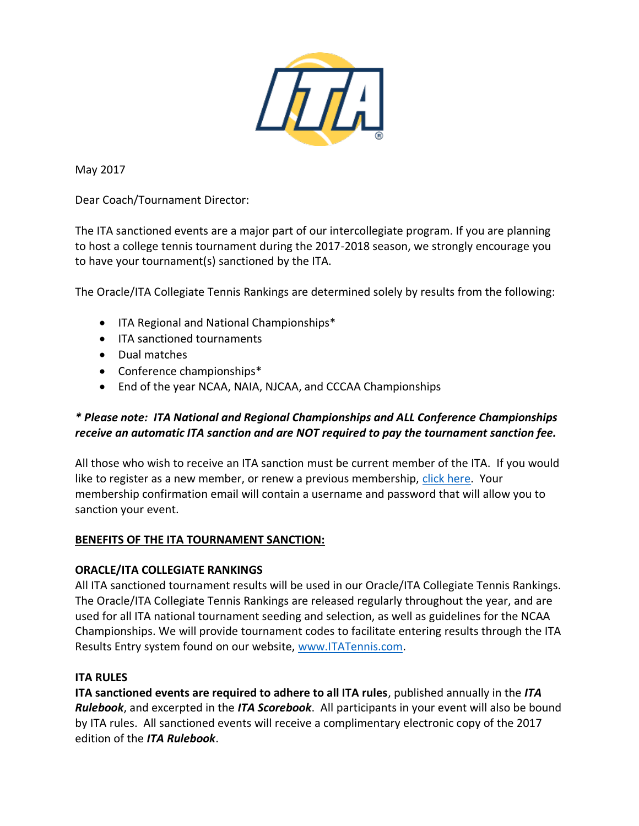

May 2017

Dear Coach/Tournament Director:

The ITA sanctioned events are a major part of our intercollegiate program. If you are planning to host a college tennis tournament during the 2017-2018 season, we strongly encourage you to have your tournament(s) sanctioned by the ITA.

The Oracle/ITA Collegiate Tennis Rankings are determined solely by results from the following:

- ITA Regional and National Championships\*
- ITA sanctioned tournaments
- Dual matches
- Conference championships\*
- End of the year NCAA, NAIA, NJCAA, and CCCAA Championships

# *\* Please note: ITA National and Regional Championships and ALL Conference Championships receive an automatic ITA sanction and are NOT required to pay the tournament sanction fee.*

All those who wish to receive an ITA sanction must be current member of the ITA. If you would like to register as a new member, or renew a previous membership, [click here.](http://www.itatennis.com/AboutITA/Membership.htm) Your membership confirmation email will contain a username and password that will allow you to sanction your event.

## **BENEFITS OF THE ITA TOURNAMENT SANCTION:**

## **ORACLE/ITA COLLEGIATE RANKINGS**

All ITA sanctioned tournament results will be used in our Oracle/ITA Collegiate Tennis Rankings. The Oracle/ITA Collegiate Tennis Rankings are released regularly throughout the year, and are used for all ITA national tournament seeding and selection, as well as guidelines for the NCAA Championships. We will provide tournament codes to facilitate entering results through the ITA Results Entry system found on our website, [www.ITATennis.com.](http://www.itatennis.com/)

## **ITA RULES**

**ITA sanctioned events are required to adhere to all ITA rules**, published annually in the *ITA Rulebook*, and excerpted in the *ITA Scorebook*. All participants in your event will also be bound by ITA rules. All sanctioned events will receive a complimentary electronic copy of the 2017 edition of the *ITA Rulebook*.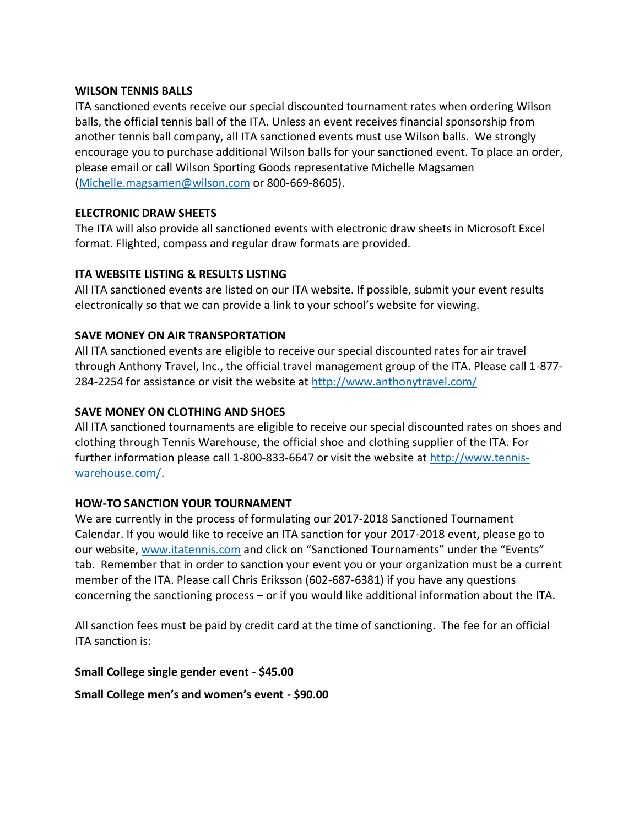#### **WILSON TENNIS BALLS**

ITA sanctioned events receive our special discounted tournament rates when ordering Wilson balls, the official tennis ball of the ITA. Unless an event receives financial sponsorship from another tennis ball company, all ITA sanctioned events must use Wilson balls. We strongly encourage you to purchase additional Wilson balls for your sanctioned event. To place an order, please email or call Wilson Sporting Goods representative Michelle Magsamen [\(Michelle.magsamen@wilson.com](mailto:Michelle.magsamen@wilson.com) or 800-669-8605).

### **ELECTRONIC DRAW SHEETS**

The ITA will also provide all sanctioned events with electronic draw sheets in Microsoft Excel format. Flighted, compass and regular draw formats are provided.

### **ITA WEBSITE LISTING & RESULTS LISTING**

All ITA sanctioned events are listed on our ITA website. If possible, submit your event results electronically so that we can provide a link to your school's website for viewing.

### **SAVE MONEY ON AIR TRANSPORTATION**

All ITA sanctioned events are eligible to receive our special discounted rates for air travel through Anthony Travel, Inc., the official travel management group of the ITA. Please call 1-877- 284-2254 for assistance or visit the website at<http://www.anthonytravel.com/>

#### **SAVE MONEY ON CLOTHING AND SHOES**

All ITA sanctioned tournaments are eligible to receive our special discounted rates on shoes and clothing through Tennis Warehouse, the official shoe and clothing supplier of the ITA. For further information please call 1-800-833-6647 or visit the website at [http://www.tennis](http://www.tennis-warehouse.com/)[warehouse.com/.](http://www.tennis-warehouse.com/)

#### **HOW-TO SANCTION YOUR TOURNAMENT**

We are currently in the process of formulating our 2017-2018 Sanctioned Tournament Calendar. If you would like to receive an ITA sanction for your 2017-2018 event, please go to our website, [www.itatennis.com](http://www.itatennis.com/) and click on "Sanctioned Tournaments" under the "Events" tab. Remember that in order to sanction your event you or your organization must be a current member of the ITA. Please call Chris Eriksson (602-687-6381) if you have any questions concerning the sanctioning process – or if you would like additional information about the ITA.

All sanction fees must be paid by credit card at the time of sanctioning. The fee for an official ITA sanction is:

**Small College single gender event - \$45.00**

**Small College men's and women's event - \$90.00**